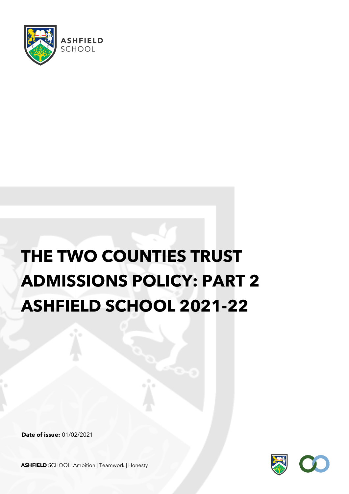

# **THE TWO COUNTIES TRUST ADMISSIONS POLICY: PART 2 ASHFIELD SCHOOL 2021-22**

**Date of issue:** 01/02/2021



**ASHFIELD** SCHOOL Ambition | Teamwork | Honesty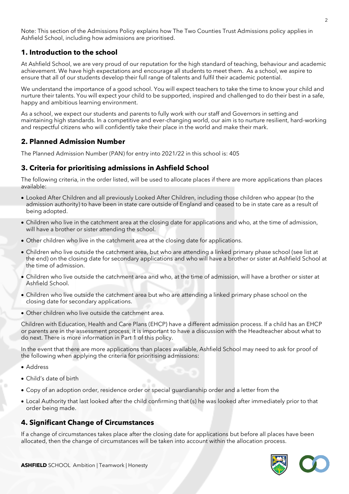Note: This section of the Admissions Policy explains how The Two Counties Trust Admissions policy applies in Ashfield School, including how admissions are prioritised.

# **1. Introduction to the school**

At Ashfield School, we are very proud of our reputation for the high standard of teaching, behaviour and academic achievement. We have high expectations and encourage all students to meet them. As a school, we aspire to ensure that all of our students develop their full range of talents and fulfil their academic potential.

We understand the importance of a good school. You will expect teachers to take the time to know your child and nurture their talents. You will expect your child to be supported, inspired and challenged to do their best in a safe, happy and ambitious learning environment.

As a school, we expect our students and parents to fully work with our staff and Governors in setting and maintaining high standards. In a competitive and ever-changing world, our aim is to nurture resilient, hard-working and respectful citizens who will confidently take their place in the world and make their mark.

# **2. Planned Admission Number**

The Planned Admission Number (PAN) for entry into 2021/22 in this school is: 405

# **3. Criteria for prioritising admissions in Ashfield School**

The following criteria, in the order listed, will be used to allocate places if there are more applications than places available:

- Looked After Children and all previously Looked After Children, including those children who appear (to the admission authority) to have been in state care outside of England and ceased to be in state care as a result of being adopted.
- Children who live in the catchment area at the closing date for applications and who, at the time of admission, will have a brother or sister attending the school.
- Other children who live in the catchment area at the closing date for applications.
- Children who live outside the catchment area, but who are attending a linked primary phase school (see list at the end) on the closing date for secondary applications and who will have a brother or sister at Ashfield School at the time of admission.
- Children who live outside the catchment area and who, at the time of admission, will have a brother or sister at Ashfield School.
- Children who live outside the catchment area but who are attending a linked primary phase school on the closing date for secondary applications.
- Other children who live outside the catchment area.

Children with Education, Health and Care Plans (EHCP) have a different admission process. If a child has an EHCP or parents are in the assessment process, it is important to have a discussion with the Headteacher about what to do next. There is more information in Part 1 of this policy.

In the event that there are more applications than places available, Ashfield School may need to ask for proof of the following when applying the criteria for prioritising admissions:

- Address
- Child's date of birth
- Copy of an adoption order, residence order or special guardianship order and a letter from the
- Local Authority that last looked after the child confirming that (s) he was looked after immediately prior to that order being made.

## **4. Significant Change of Circumstances**

If a change of circumstances takes place after the closing date for applications but before all places have been allocated, then the change of circumstances will be taken into account within the allocation process.

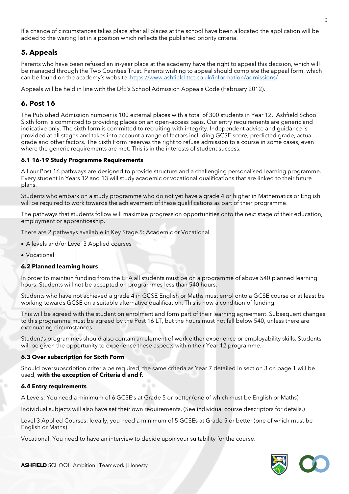If a change of circumstances takes place after all places at the school have been allocated the application will be added to the waiting list in a position which reflects the published priority criteria.

# **5. Appeals**

Parents who have been refused an in-year place at the academy have the right to appeal this decision, which will be managed through the Two Counties Trust. Parents wishing to appeal should complete the appeal form, which can be found on the academy's website[. https://www.ashfield.ttct.co.uk/information/admissions/](https://www.ashfield.ttct.co.uk/information/admissions/)

Appeals will be held in line with the DfE's School Admission Appeals Code (February 2012).

# **6. Post 16**

The Published Admission number is 100 external places with a total of 300 students in Year 12. Ashfield School Sixth form is committed to providing places on an open-access basis. Our entry requirements are generic and indicative only. The sixth form is committed to recruiting with integrity. Independent advice and guidance is provided at all stages and takes into account a range of factors including GCSE score, predicted grade, actual grade and other factors. The Sixth Form reserves the right to refuse admission to a course in some cases, even where the generic requirements are met. This is in the interests of student success.

#### **6.1 16-19 Study Programme Requirements**

All our Post 16 pathways are designed to provide structure and a challenging personalised learning programme. Every student in Years 12 and 13 will study academic or vocational qualifications that are linked to their future plans.

Students who embark on a study programme who do not yet have a grade 4 or higher in Mathematics or English will be required to work towards the achievement of these qualifications as part of their programme.

The pathways that students follow will maximise progression opportunities onto the next stage of their education, employment or apprenticeship.

There are 2 pathways available in Key Stage 5: Academic or Vocational

- A levels and/or Level 3 Applied courses
- Vocational

#### **6.2 Planned learning hours**

In order to maintain funding from the EFA all students must be on a programme of above 540 planned learning hours. Students will not be accepted on programmes less than 540 hours.

Students who have not achieved a grade 4 in GCSE English or Maths must enrol onto a GCSE course or at least be working towards GCSE on a suitable alternative qualification. This is now a condition of funding.

This will be agreed with the student on enrolment and form part of their learning agreement. Subsequent changes to this programme must be agreed by the Post 16 LT, but the hours must not fall below 540, unless there are extenuating circumstances.

Student's programmes should also contain an element of work either experience or employability skills. Students will be given the opportunity to experience these aspects within their Year 12 programme.

#### **6.3 Over subscription for Sixth Form**

Should oversubscription criteria be required, the same criteria as Year 7 detailed in section 3 on page 1 will be used, **with the exception of Criteria d and f**.

#### **6.4 Entry requirements**

A Levels: You need a minimum of 6 GCSE's at Grade 5 or better (one of which must be English or Maths)

Individual subjects will also have set their own requirements. (See individual course descriptors for details.)

Level 3 Applied Courses: Ideally, you need a minimum of 5 GCSEs at Grade 5 or better (one of which must be English or Maths)

Vocational: You need to have an interview to decide upon your suitability for the course.

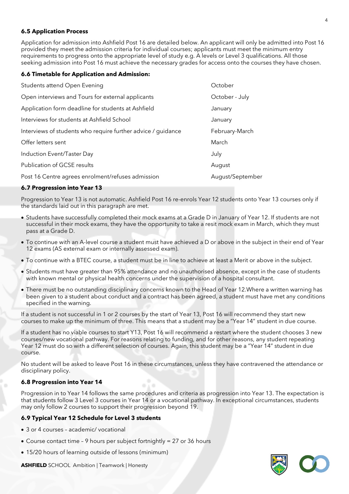#### **6.5 Application Process**

Application for admission into Ashfield Post 16 are detailed below. An applicant will only be admitted into Post 16 provided they meet the admission criteria for individual courses; applicants must meet the minimum entry requirements to progress onto the appropriate level of study e.g. A levels or Level 3 qualifications. All those seeking admission into Post 16 must achieve the necessary grades for access onto the courses they have chosen.

#### **6.6 Timetable for Application and Admission:**

| Students attend Open Evening                                 | October          |
|--------------------------------------------------------------|------------------|
| Open interviews and Tours for external applicants            | October - July   |
| Application form deadline for students at Ashfield           | January          |
| Interviews for students at Ashfield School                   | January          |
| Interviews of students who require further advice / guidance | February-March   |
| Offer letters sent                                           | March            |
| Induction Event/Taster Day                                   | July             |
| Publication of GCSE results                                  | August           |
| Post 16 Centre agrees enrolment/refuses admission            | August/September |

#### **6.7 Progression into Year 13**

Progression to Year 13 is not automatic. Ashfield Post 16 re-enrols Year 12 students onto Year 13 courses only if the standards laid out in this paragraph are met.

- Students have successfully completed their mock exams at a Grade D in January of Year 12. If students are not successful in their mock exams, they have the opportunity to take a resit mock exam in March, which they must pass at a Grade D.
- To continue with an A-level course a student must have achieved a D or above in the subject in their end of Year 12 exams (AS external exam or internally assessed exam).
- To continue with a BTEC course, a student must be in line to achieve at least a Merit or above in the subject.
- Students must have greater than 95% attendance and no unauthorised absence, except in the case of students with known mental or physical health concerns under the supervision of a hospital consultant.
- There must be no outstanding disciplinary concerns known to the Head of Year 12.Where a written warning has been given to a student about conduct and a contract has been agreed, a student must have met any conditions specified in the warning.

If a student is not successful in 1 or 2 courses by the start of Year 13, Post 16 will recommend they start new courses to make up the minimum of three. This means that a student may be a "Year 14" student in due course.

If a student has no viable courses to start Y13, Post 16 will recommend a restart where the student chooses 3 new courses/new vocational pathway. For reasons relating to funding, and for other reasons, any student repeating Year 12 must do so with a different selection of courses. Again, this student may be a "Year 14" student in due course.

No student will be asked to leave Post 16 in these circumstances, unless they have contravened the attendance or disciplinary policy.

#### **6.8 Progression into Year 14**

Progression in to Year 14 follows the same procedures and criteria as progression into Year 13. The expectation is that students follow 3 Level 3 courses in Year 14 or a vocational pathway. In exceptional circumstances, students may only follow 2 courses to support their progression beyond 19.

#### **6.9 Typical Year 12 Schedule for Level 3 students**

- 3 or 4 courses academic/ vocational
- Course contact time 9 hours per subject fortnightly = 27 or 36 hours
- 15/20 hours of learning outside of lessons (minimum)



**ASHFIELD** SCHOOL Ambition | Teamwork | Honesty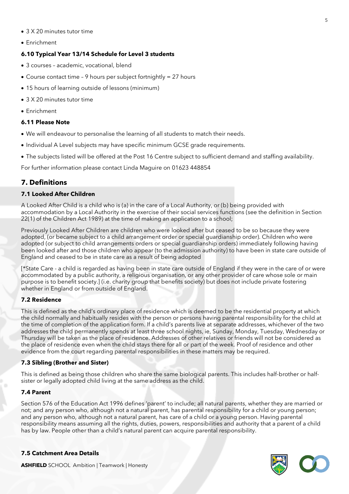- 3 X 20 minutes tutor time
- Enrichment

#### **6.10 Typical Year 13/14 Schedule for Level 3 students**

- 3 courses academic, vocational, blend
- Course contact time 9 hours per subject fortnightly = 27 hours
- 15 hours of learning outside of lessons (minimum)
- 3 X 20 minutes tutor time
- Enrichment

#### **6.11 Please Note**

- We will endeavour to personalise the learning of all students to match their needs.
- Individual A Level subjects may have specific minimum GCSE grade requirements.
- The subjects listed will be offered at the Post 16 Centre subject to sufficient demand and staffing availability.

For further information please contact Linda Maguire on 01623 448854

### **7. Definitions**

#### **7.1 Looked After Children**

A Looked After Child is a child who is (a) in the care of a Local Authority, or (b) being provided with accommodation by a Local Authority in the exercise of their social services functions (see the definition in Section 22(1) of the Children Act 1989) at the time of making an application to a school;

Previously Looked After Children are children who were looked after but ceased to be so because they were adopted, (or became subject to a child arrangement order or special guardianship order). Children who were adopted (or subject to child arrangements orders or special guardianship orders) immediately following having been looked after and those children who appear (to the admission authority) to have been in state care outside of England and ceased to be in state care as a result of being adopted

[\*State Care - a child is regarded as having been in state care outside of England if they were in the care of or were accommodated by a public authority, a religious organisation, or any other provider of care whose sole or main purpose is to benefit society.] (i.e. charity group that benefits society) but does not include private fostering whether in England or from outside of England.

#### **7.2 Residence**

This is defined as the child's ordinary place of residence which is deemed to be the residential property at which the child normally and habitually resides with the person or persons having parental responsibility for the child at the time of completion of the application form. If a child's parents live at separate addresses, whichever of the two addresses the child permanently spends at least three school nights, ie, Sunday, Monday, Tuesday, Wednesday or Thursday will be taken as the place of residence. Addresses of other relatives or friends will not be considered as the place of residence even when the child stays there for all or part of the week. Proof of residence and other evidence from the court regarding parental responsibilities in these matters may be required.

#### **7.3 Sibling (Brother and Sister)**

This is defined as being those children who share the same biological parents. This includes half-brother or halfsister or legally adopted child living at the same address as the child.

#### **7.4 Parent**

Section 576 of the Education Act 1996 defines 'parent' to include; all natural parents, whether they are married or not; and any person who, although not a natural parent, has parental responsibility for a child or young person; and any person who, although not a natural parent, has care of a child or a young person. Having parental responsibility means assuming all the rights, duties, powers, responsibilities and authority that a parent of a child has by law. People other than a child's natural parent can acquire parental responsibility.

#### **7.5 Catchment Area Details**



**ASHFIELD** SCHOOL Ambition | Teamwork | Honesty